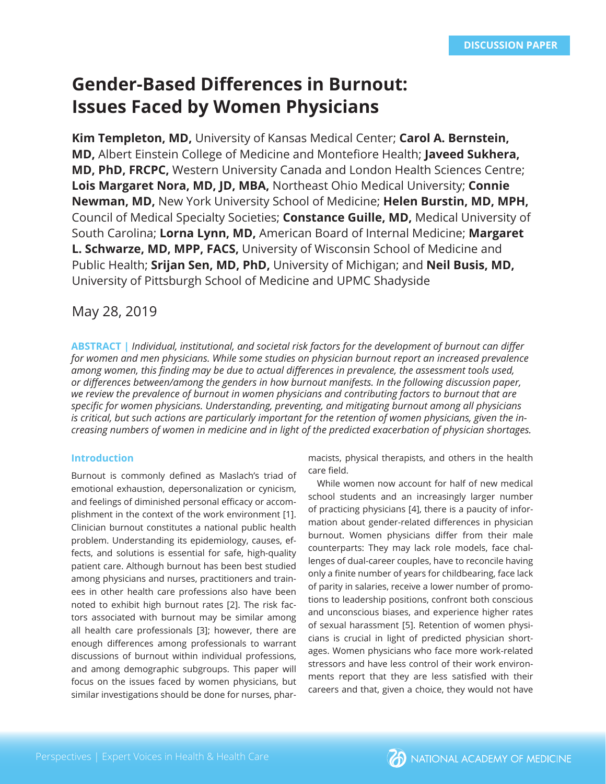# **Gender-Based Differences in Burnout: Issues Faced by Women Physicians**

**Kim Templeton, MD,** University of Kansas Medical Center; **Carol A. Bernstein, MD, Albert Einstein College of Medicine and Montefiore Health; Javeed Sukhera, MD, PhD, FRCPC,** Western University Canada and London Health Sciences Centre; **Lois Margaret Nora, MD, JD, MBA,** Northeast Ohio Medical University; **Connie Newman, MD,** New York University School of Medicine; **Helen Burstin, MD, MPH,**  Council of Medical Specialty Societies; **Constance Guille, MD,** Medical University of South Carolina; **Lorna Lynn, MD,** American Board of Internal Medicine; **Margaret L. Schwarze, MD, MPP, FACS,** University of Wisconsin School of Medicine and Public Health; **Srijan Sen, MD, PhD,** University of Michigan; and **Neil Busis, MD,**  University of Pittsburgh School of Medicine and UPMC Shadyside

# May 28, 2019

**ABSTRACT |** *Individual, institutional, and societal risk factors for the development of burnout can diff er for women and men physicians. While some studies on physician burnout report an increased prevalence among women, this fi nding may be due to actual diff erences in prevalence, the assessment tools used, or diff erences between/among the genders in how burnout manifests. In the following discussion paper, we review the prevalence of burnout in women physicians and contributing factors to burnout that are specifi c for women physicians. Understanding, preventing, and mitigating burnout among all physicians is critical, but such actions are particularly important for the retention of women physicians, given the increasing numbers of women in medicine and in light of the predicted exacerbation of physician shortages.* 

# **Introduction**

Burnout is commonly defined as Maslach's triad of emotional exhaustion, depersonalization or cynicism, and feelings of diminished personal efficacy or accomplishment in the context of the work environment [1]. Clinician burnout constitutes a national public health problem. Understanding its epidemiology, causes, effects, and solutions is essential for safe, high-quality patient care. Although burnout has been best studied among physicians and nurses, practitioners and trainees in other health care professions also have been noted to exhibit high burnout rates [2]. The risk factors associated with burnout may be similar among all health care professionals [3]; however, there are enough differences among professionals to warrant discussions of burnout within individual professions, and among demographic subgroups. This paper will focus on the issues faced by women physicians, but similar investigations should be done for nurses, phar-

macists, physical therapists, and others in the health care field.

While women now account for half of new medical school students and an increasingly larger number of practicing physicians [4], there is a paucity of information about gender-related differences in physician burnout. Women physicians differ from their male counterparts: They may lack role models, face challenges of dual-career couples, have to reconcile having only a finite number of years for childbearing, face lack of parity in salaries, receive a lower number of promotions to leadership positions, confront both conscious and unconscious biases, and experience higher rates of sexual harassment [5]. Retention of women physicians is crucial in light of predicted physician shortages. Women physicians who face more work-related stressors and have less control of their work environments report that they are less satisfied with their careers and that, given a choice, they would not have

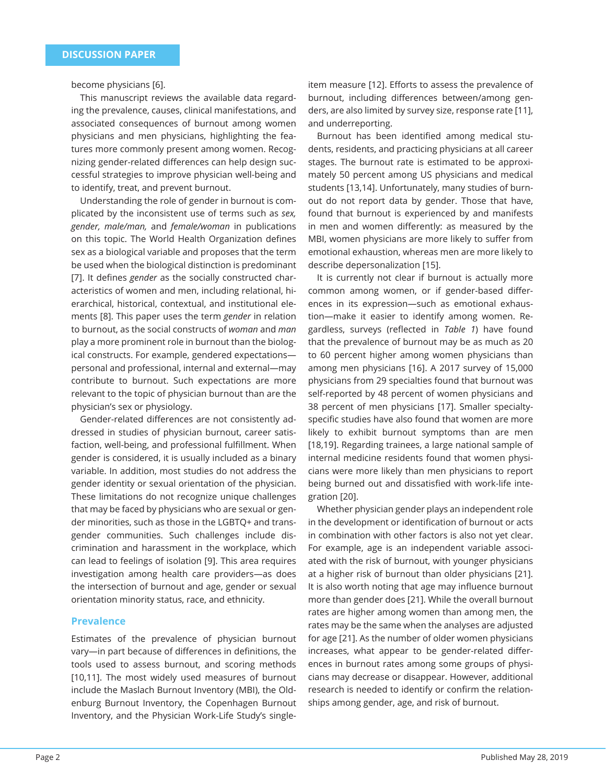become physicians [6].

This manuscript reviews the available data regarding the prevalence, causes, clinical manifestations, and associated consequences of burnout among women physicians and men physicians, highlighting the features more commonly present among women. Recognizing gender-related differences can help design successful strategies to improve physician well-being and to identify, treat, and prevent burnout.

Understanding the role of gender in burnout is complicated by the inconsistent use of terms such as *sex, gender, male/man,* and *female/woman* in publications on this topic. The World Health Organization defines sex as a biological variable and proposes that the term be used when the biological distinction is predominant [7]. It defines *gender* as the socially constructed characteristics of women and men, including relational, hierarchical, historical, contextual, and institutional elements [8]. This paper uses the term *gender* in relation to burnout, as the social constructs of *woman* and *man* play a more prominent role in burnout than the biological constructs. For example, gendered expectations personal and professional, internal and external—may contribute to burnout. Such expectations are more relevant to the topic of physician burnout than are the physician's sex or physiology.

Gender-related differences are not consistently addressed in studies of physician burnout, career satisfaction, well-being, and professional fulfillment. When gender is considered, it is usually included as a binary variable. In addition, most studies do not address the gender identity or sexual orientation of the physician. These limitations do not recognize unique challenges that may be faced by physicians who are sexual or gender minorities, such as those in the LGBTQ+ and transgender communities. Such challenges include discrimination and harassment in the workplace, which can lead to feelings of isolation [9]. This area requires investigation among health care providers—as does the intersection of burnout and age, gender or sexual orientation minority status, race, and ethnicity.

#### **Prevalence**

Estimates of the prevalence of physician burnout vary-in part because of differences in definitions, the tools used to assess burnout, and scoring methods [10,11]. The most widely used measures of burnout include the Maslach Burnout Inventory (MBI), the Oldenburg Burnout Inventory, the Copenhagen Burnout Inventory, and the Physician Work-Life Study's singleitem measure [12]. Efforts to assess the prevalence of burnout, including differences between/among genders, are also limited by survey size, response rate [11], and underreporting.

Burnout has been identified among medical students, residents, and practicing physicians at all career stages. The burnout rate is estimated to be approximately 50 percent among US physicians and medical students [13,14]. Unfortunately, many studies of burnout do not report data by gender. Those that have, found that burnout is experienced by and manifests in men and women differently: as measured by the MBI, women physicians are more likely to suffer from emotional exhaustion, whereas men are more likely to describe depersonalization [15].

It is currently not clear if burnout is actually more common among women, or if gender-based differences in its expression—such as emotional exhaustion—make it easier to identify among women. Regardless, surveys (reflected in *Table 1*) have found that the prevalence of burnout may be as much as 20 to 60 percent higher among women physicians than among men physicians [16]. A 2017 survey of 15,000 physicians from 29 specialties found that burnout was self-reported by 48 percent of women physicians and 38 percent of men physicians [17]. Smaller specialtyspecific studies have also found that women are more likely to exhibit burnout symptoms than are men [18,19]. Regarding trainees, a large national sample of internal medicine residents found that women physicians were more likely than men physicians to report being burned out and dissatisfied with work-life integration [20].

Whether physician gender plays an independent role in the development or identification of burnout or acts in combination with other factors is also not yet clear. For example, age is an independent variable associated with the risk of burnout, with younger physicians at a higher risk of burnout than older physicians [21]. It is also worth noting that age may influence burnout more than gender does [21]. While the overall burnout rates are higher among women than among men, the rates may be the same when the analyses are adjusted for age [21]. As the number of older women physicians increases, what appear to be gender-related differences in burnout rates among some groups of physicians may decrease or disappear. However, additional research is needed to identify or confirm the relationships among gender, age, and risk of burnout.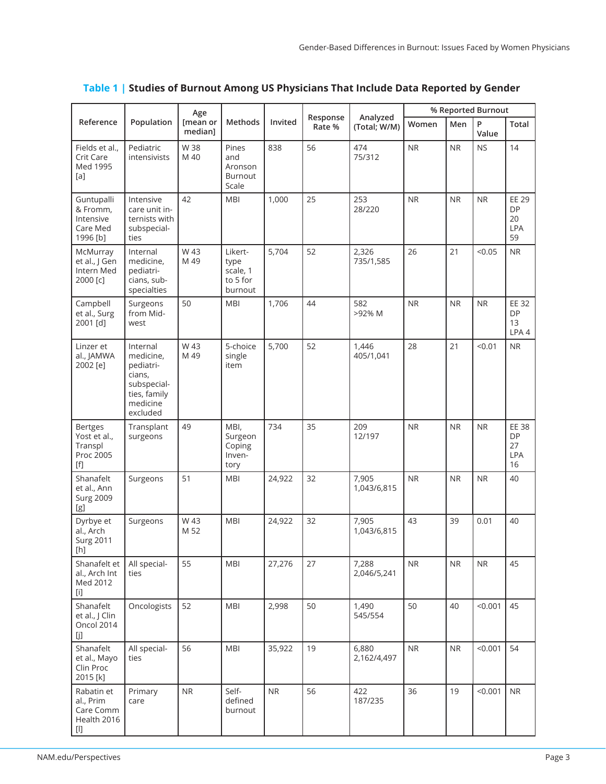| Reference                                                                                                                                                                                                                                                                                                                                                                                                                                                                                                                                                                                                                                                                                                                                                                                                                                                                                                                                          | Population                                                                                          | Age<br>[mean or<br>median1 | Methods                                            | Invited | Response<br>Rate % | Analyzed<br>(Total; W/M) | % Reported Burnout |            |            |                                                     |
|----------------------------------------------------------------------------------------------------------------------------------------------------------------------------------------------------------------------------------------------------------------------------------------------------------------------------------------------------------------------------------------------------------------------------------------------------------------------------------------------------------------------------------------------------------------------------------------------------------------------------------------------------------------------------------------------------------------------------------------------------------------------------------------------------------------------------------------------------------------------------------------------------------------------------------------------------|-----------------------------------------------------------------------------------------------------|----------------------------|----------------------------------------------------|---------|--------------------|--------------------------|--------------------|------------|------------|-----------------------------------------------------|
|                                                                                                                                                                                                                                                                                                                                                                                                                                                                                                                                                                                                                                                                                                                                                                                                                                                                                                                                                    |                                                                                                     |                            |                                                    |         |                    |                          | Women              | Men        | P<br>Value | Total                                               |
| Fields et al.,<br>Crit Care<br>Med 1995<br>[a]                                                                                                                                                                                                                                                                                                                                                                                                                                                                                                                                                                                                                                                                                                                                                                                                                                                                                                     | Pediatric<br>intensivists                                                                           | W 38<br>M 40               | Pines<br>and<br>Aronson<br>Burnout<br>Scale        | 838     | 56                 | 474<br>75/312            | <b>NR</b>          | <b>NR</b>  | <b>NS</b>  | 14                                                  |
| Guntupalli<br>& Fromm,<br>Intensive<br>Care Med<br>1996 [b]                                                                                                                                                                                                                                                                                                                                                                                                                                                                                                                                                                                                                                                                                                                                                                                                                                                                                        | Intensive<br>care unit in-<br>ternists with<br>subspecial-<br>ties                                  | 42                         | <b>MBI</b>                                         | 1,000   | 25                 | 253<br>28/220            | <b>NR</b>          | <b>NR</b>  | <b>NR</b>  | <b>EE 29</b><br><b>DP</b><br>20<br><b>LPA</b><br>59 |
| McMurray<br>et al., J Gen<br>Intern Med<br>2000 [c]                                                                                                                                                                                                                                                                                                                                                                                                                                                                                                                                                                                                                                                                                                                                                                                                                                                                                                | Internal<br>medicine,<br>pediatri-<br>cians, sub-<br>specialties                                    | W 43<br>M 49               | Likert-<br>type<br>scale, 1<br>to 5 for<br>burnout | 5,704   | 52                 | 2,326<br>735/1,585       | 26                 | 21         | < 0.05     | <b>NR</b>                                           |
| Campbell<br>et al., Surg<br>2001 [d]                                                                                                                                                                                                                                                                                                                                                                                                                                                                                                                                                                                                                                                                                                                                                                                                                                                                                                               | Surgeons<br>from Mid-<br>west                                                                       | 50                         | <b>MBI</b>                                         | 1,706   | 44                 | 582<br>>92% M            | <b>NR</b>          | <b>NR</b>  | <b>NR</b>  | EE 32<br><b>DP</b><br>13<br>LPA4                    |
| Linzer et<br>al., JAMWA<br>2002 [e]                                                                                                                                                                                                                                                                                                                                                                                                                                                                                                                                                                                                                                                                                                                                                                                                                                                                                                                | Internal<br>medicine,<br>pediatri-<br>cians,<br>subspecial-<br>ties, family<br>medicine<br>excluded | W 43<br>M 49               | 5-choice<br>single<br>item                         | 5,700   | 52                 | 1,446<br>405/1,041       | 28                 | 21         | < 0.01     | <b>NR</b>                                           |
| <b>Bertges</b><br>Yost et al.,<br>Transpl<br>Proc 2005<br>[f]                                                                                                                                                                                                                                                                                                                                                                                                                                                                                                                                                                                                                                                                                                                                                                                                                                                                                      | Transplant<br>surgeons                                                                              | 49                         | MBI,<br>Surgeon<br>Coping<br>Inven-<br>tory        | 734     | 35                 | 209<br>12/197            | <b>NR</b>          | <b>NR</b>  | <b>NR</b>  | EE 38<br><b>DP</b><br>27<br><b>LPA</b><br>16        |
| Shanafelt<br>et al., Ann<br><b>Surg 2009</b><br>[g]                                                                                                                                                                                                                                                                                                                                                                                                                                                                                                                                                                                                                                                                                                                                                                                                                                                                                                | Surgeons                                                                                            | 51                         | <b>MBI</b>                                         | 24,922  | 32                 | 7,905<br>1,043/6,815     | <b>NR</b>          | <b>NR</b>  | <b>NR</b>  | 40                                                  |
| Dyrbye et<br>al., Arch<br><b>Surg 2011</b><br>[h]                                                                                                                                                                                                                                                                                                                                                                                                                                                                                                                                                                                                                                                                                                                                                                                                                                                                                                  | Surgeons                                                                                            | W 43<br>M 52               | <b>MBI</b>                                         | 24,922  | 32                 | 7,905<br>1,043/6,815     | 43                 | 39         | 0.01       | 40                                                  |
| Shanafelt et<br>al., Arch Int<br>Med 2012<br>$[1] % \begin{center} % \includegraphics[width=\linewidth]{imagesSupplemental_3.png} % \end{center} % \caption { % Our method is used for the method. % The method is used for the method. % The method is used for the method. % The method is used for the method. % The method is used for the method. % The method is used for the method. % The method is used for the method. % The method is used for the method. % The method is used for the method. % The method is used for the method. % The method is used for the method. % The method is used for the method. % The method is used for the method. % The method is used for the method. % The method is used for the method. % The method is used for the method. % The method is used for the method. % The method is used for the method. % The method is used for the method. % The method is used for the method. % The method is$ | All special-<br>ties                                                                                | 55                         | <b>MBI</b>                                         | 27,276  | 27                 | 7,288<br>2,046/5,241     | ${\sf NR}$         | <b>NR</b>  | NR         | 45                                                  |
| Shanafelt<br>et al., J Clin<br>Oncol 2014<br>[j]                                                                                                                                                                                                                                                                                                                                                                                                                                                                                                                                                                                                                                                                                                                                                                                                                                                                                                   | Oncologists                                                                                         | 52                         | <b>MBI</b>                                         | 2,998   | 50                 | 1,490<br>545/554         | 50                 | 40         | < 0.001    | 45                                                  |
| Shanafelt<br>et al., Mayo<br>Clin Proc<br>2015 [k]                                                                                                                                                                                                                                                                                                                                                                                                                                                                                                                                                                                                                                                                                                                                                                                                                                                                                                 | All special-<br>ties                                                                                | 56                         | <b>MBI</b>                                         | 35,922  | 19                 | 6,880<br>2,162/4,497     | NR                 | ${\sf NR}$ | < 0.001    | 54                                                  |
| Rabatin et<br>al., Prim<br>Care Comm<br>Health 2016<br>$[] \centering \includegraphics[width=0.47\textwidth]{Figures/PD1.png} \caption{The 3D (black) model for the 3D (black) model. The 3D (black) model is shown in Fig.~\ref{fig:1}, (a) and (b) and (c) are shown in Fig.~\ref{fig:1}, (b) and (c) are shown in Fig.~\ref{fig:1}, (c) and (d) are shown in Fig.~\ref{fig:1}, (d) and (e) are shown in Fig.~\ref{fig:1}, (e) and (f) are shown in Fig.~\ref{fig:1}, (f) and (g) are shown in Fig.~\ref{fig:1}, (g) and (h) are shown in Fig.~\ref{fig:1}, (h) and (i) are shown$                                                                                                                                                                                                                                                                                                                                                               | Primary<br>care                                                                                     | NR                         | Self-<br>defined<br>burnout                        | NR      | 56                 | 422<br>187/235           | 36                 | 19         | < 0.001    | <b>NR</b>                                           |

# **Table 1 | Studies of Burnout Among US Physicians That Include Data Reported by Gender**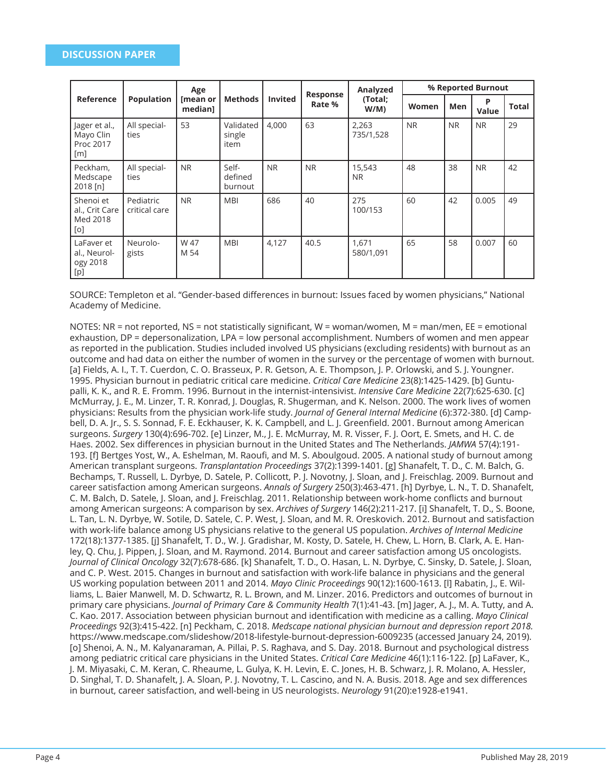| Reference                                      | <b>Population</b>          | Age<br>[mean or<br>median1 | <b>Methods</b>              | <b>Invited</b> | Response<br>Rate % | Analyzed<br>(Total;<br>W/M) | % Reported Burnout |           |            |       |
|------------------------------------------------|----------------------------|----------------------------|-----------------------------|----------------|--------------------|-----------------------------|--------------------|-----------|------------|-------|
|                                                |                            |                            |                             |                |                    |                             | Women              | Men       | P<br>Value | Total |
| Jager et al.,<br>Mayo Clin<br>Proc 2017<br>[m] | All special-<br>ties       | 53                         | Validated<br>single<br>item | 4,000          | 63                 | 2,263<br>735/1,528          | <b>NR</b>          | <b>NR</b> | <b>NR</b>  | 29    |
| Peckham,<br>Medscape<br>$2018$ [n]             | All special-<br>ties       | <b>NR</b>                  | Self-<br>defined<br>burnout | <b>NR</b>      | <b>NR</b>          | 15,543<br><b>NR</b>         | 48                 | 38        | <b>NR</b>  | 42    |
| Shenoi et<br>al., Crit Care<br>Med 2018<br>[0] | Pediatric<br>critical care | <b>NR</b>                  | <b>MBI</b>                  | 686            | 40                 | 275<br>100/153              | 60                 | 42        | 0.005      | 49    |
| LaFaver et<br>al., Neurol-<br>ogy 2018<br>[p]  | Neurolo-<br>gists          | W 47<br>M 54               | <b>MBI</b>                  | 4,127          | 40.5               | 1,671<br>580/1,091          | 65                 | 58        | 0.007      | 60    |

SOURCE: Templeton et al. "Gender-based differences in burnout: Issues faced by women physicians," National Academy of Medicine.

NOTES: NR = not reported, NS = not statistically significant, W = woman/women, M = man/men, EE = emotional exhaustion, DP = depersonalization, LPA = low personal accomplishment. Numbers of women and men appear as reported in the publication. Studies included involved US physicians (excluding residents) with burnout as an outcome and had data on either the number of women in the survey or the percentage of women with burnout. [a] Fields, A. I., T. T. Cuerdon, C. O. Brasseux, P. R. Getson, A. E. Thompson, J. P. Orlowski, and S. J. Youngner. 1995. Physician burnout in pediatric critical care medicine. *Critical Care Medicine* 23(8):1425-1429. [b] Guntupalli, K. K., and R. E. Fromm. 1996. Burnout in the internist-intensivist. *Intensive Care Medicine* 22(7):625-630. [c] McMurray, J. E., M. Linzer, T. R. Konrad, J. Douglas, R. Shugerman, and K. Nelson. 2000. The work lives of women physicians: Results from the physician work-life study. *Journal of General Internal Medicine* (6):372-380. [d] Campbell, D. A. Jr., S. S. Sonnad, F. E. Eckhauser, K. K. Campbell, and L. J. Greenfield. 2001. Burnout among American surgeons. *Surgery* 130(4):696-702. [e] Linzer, M., J. E. McMurray, M. R. Visser, F. J. Oort, E. Smets, and H. C. de Haes. 2002. Sex differences in physician burnout in the United States and The Netherlands. *JAMWA* 57(4):191-193. [f] Bertges Yost, W., A. Eshelman, M. Raoufi, and M. S. Aboulgoud. 2005. A national study of burnout among American transplant surgeons. *Transplantation Proceedings* 37(2):1399-1401. [g] Shanafelt, T. D., C. M. Balch, G. Bechamps, T. Russell, L. Dyrbye, D. Satele, P. Collicott, P. J. Novotny, J. Sloan, and J. Freischlag. 2009. Burnout and career satisfaction among American surgeons. *Annals of Surgery* 250(3):463-471. [h] Dyrbye, L. N., T. D. Shanafelt, C. M. Balch, D. Satele, J. Sloan, and J. Freischlag. 2011. Relationship between work-home conflicts and burnout among American surgeons: A comparison by sex. *Archives of Surgery* 146(2):211-217. [i] Shanafelt, T. D., S. Boone, L. Tan, L. N. Dyrbye, W. Sotile, D. Satele, C. P. West, J. Sloan, and M. R. Oreskovich. 2012. Burnout and satisfaction with work-life balance among US physicians relative to the general US population. *Archives of Internal Medicine*  172(18):1377-1385. [j] Shanafelt, T. D., W. J. Gradishar, M. Kosty, D. Satele, H. Chew, L. Horn, B. Clark, A. E. Hanley, Q. Chu, J. Pippen, J. Sloan, and M. Raymond. 2014. Burnout and career satisfaction among US oncologists. *Journal of Clinical Oncology* 32(7):678-686. [k] Shanafelt, T. D., O. Hasan, L. N. Dyrbye, C. Sinsky, D. Satele, J. Sloan, and C. P. West. 2015. Changes in burnout and satisfaction with work-life balance in physicians and the general US working population between 2011 and 2014. *Mayo Clinic Proceedings* 90(12):1600-1613. [l] Rabatin, J., E. Williams, L. Baier Manwell, M. D. Schwartz, R. L. Brown, and M. Linzer. 2016. Predictors and outcomes of burnout in primary care physicians. *Journal of Primary Care & Community Health* 7(1):41-43. [m] Jager, A. J., M. A. Tutty, and A. C. Kao. 2017. Association between physician burnout and identification with medicine as a calling. *Mayo Clinical Proceedings* 92(3):415-422. [n] Peckham, C. 2018. *Medscape national physician burnout and depression report 2018.* https://www.medscape.com/slideshow/2018-lifestyle-burnout-depression-6009235 (accessed January 24, 2019). [o] Shenoi, A. N., M. Kalyanaraman, A. Pillai, P. S. Raghava, and S. Day. 2018. Burnout and psychological distress among pediatric critical care physicians in the United States. *Critical Care Medicine* 46(1):116-122. [p] LaFaver, K., J. M. Miyasaki, C. M. Keran, C. Rheaume, L. Gulya, K. H. Levin, E. C. Jones, H. B. Schwarz, J. R. Molano, A. Hessler, D. Singhal, T. D. Shanafelt, J. A. Sloan, P. J. Novotny, T. L. Cascino, and N. A. Busis. 2018. Age and sex differences in burnout, career satisfaction, and well-being in US neurologists. *Neurology* 91(20):e1928-e1941.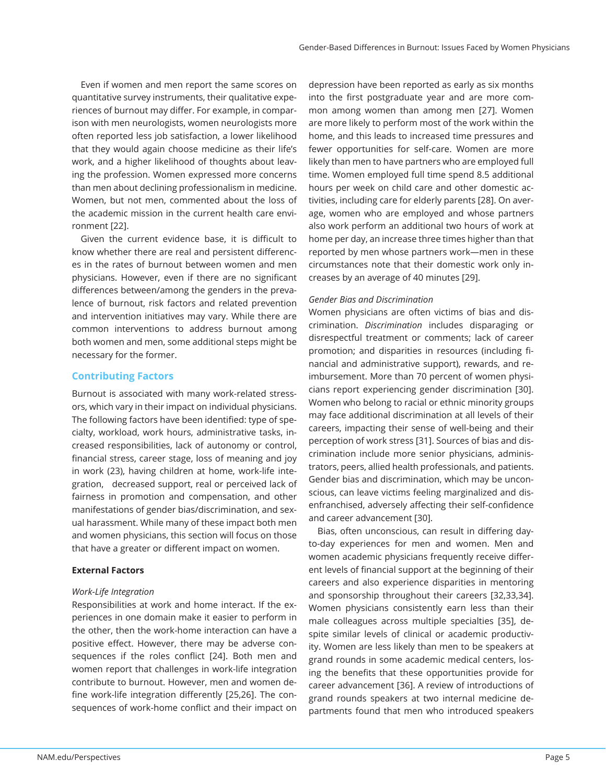Even if women and men report the same scores on quantitative survey instruments, their qualitative experiences of burnout may differ. For example, in comparison with men neurologists, women neurologists more often reported less job satisfaction, a lower likelihood that they would again choose medicine as their life's work, and a higher likelihood of thoughts about leaving the profession. Women expressed more concerns than men about declining professionalism in medicine. Women, but not men, commented about the loss of the academic mission in the current health care environment [22].

Given the current evidence base, it is difficult to know whether there are real and persistent differences in the rates of burnout between women and men physicians. However, even if there are no significant differences between/among the genders in the prevalence of burnout, risk factors and related prevention and intervention initiatives may vary. While there are common interventions to address burnout among both women and men, some additional steps might be necessary for the former.

# **Contributing Factors**

Burnout is associated with many work-related stressors, which vary in their impact on individual physicians. The following factors have been identified: type of specialty, workload, work hours, administrative tasks, increased responsibilities, lack of autonomy or control, financial stress, career stage, loss of meaning and joy in work (23), having children at home, work-life integration, decreased support, real or perceived lack of fairness in promotion and compensation, and other manifestations of gender bias/discrimination, and sexual harassment. While many of these impact both men and women physicians, this section will focus on those that have a greater or different impact on women.

## **External Factors**

#### *Work-Life Integration*

Responsibilities at work and home interact. If the experiences in one domain make it easier to perform in the other, then the work-home interaction can have a positive effect. However, there may be adverse consequences if the roles conflict [24]. Both men and women report that challenges in work-life integration contribute to burnout. However, men and women define work-life integration differently [25,26]. The consequences of work-home conflict and their impact on

depression have been reported as early as six months into the first postgraduate year and are more common among women than among men [27]. Women are more likely to perform most of the work within the home, and this leads to increased time pressures and fewer opportunities for self-care. Women are more likely than men to have partners who are employed full time. Women employed full time spend 8.5 additional hours per week on child care and other domestic activities, including care for elderly parents [28]. On average, women who are employed and whose partners also work perform an additional two hours of work at home per day, an increase three times higher than that reported by men whose partners work—men in these circumstances note that their domestic work only increases by an average of 40 minutes [29].

#### *Gender Bias and Discrimination*

Women physicians are often victims of bias and discrimination. *Discrimination* includes disparaging or disrespectful treatment or comments; lack of career promotion; and disparities in resources (including financial and administrative support), rewards, and reimbursement. More than 70 percent of women physicians report experiencing gender discrimination [30]. Women who belong to racial or ethnic minority groups may face additional discrimination at all levels of their careers, impacting their sense of well-being and their perception of work stress [31]. Sources of bias and discrimination include more senior physicians, administrators, peers, allied health professionals, and patients. Gender bias and discrimination, which may be unconscious, can leave victims feeling marginalized and disenfranchised, adversely affecting their self-confidence and career advancement [30].

Bias, often unconscious, can result in differing dayto-day experiences for men and women. Men and women academic physicians frequently receive different levels of financial support at the beginning of their careers and also experience disparities in mentoring and sponsorship throughout their careers [32,33,34]. Women physicians consistently earn less than their male colleagues across multiple specialties [35], despite similar levels of clinical or academic productivity. Women are less likely than men to be speakers at grand rounds in some academic medical centers, losing the benefits that these opportunities provide for career advancement [36]. A review of introductions of grand rounds speakers at two internal medicine departments found that men who introduced speakers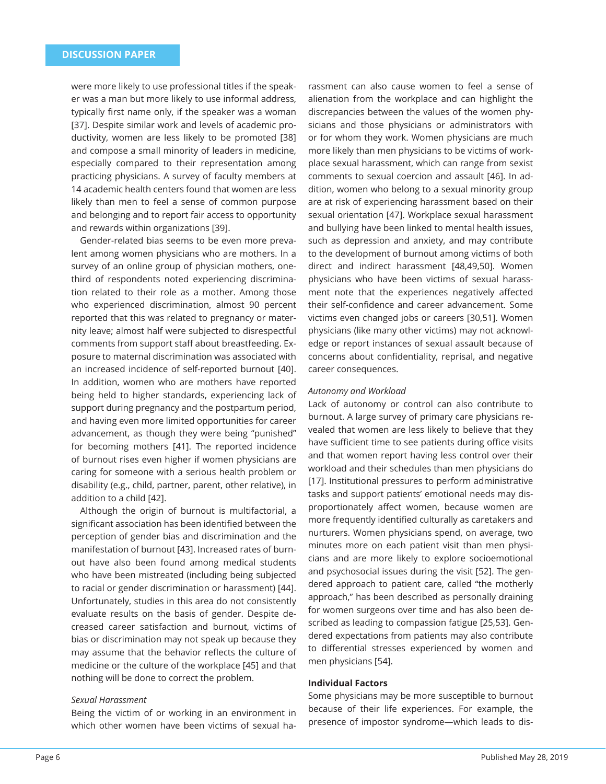were more likely to use professional titles if the speaker was a man but more likely to use informal address, typically first name only, if the speaker was a woman [37]. Despite similar work and levels of academic productivity, women are less likely to be promoted [38] and compose a small minority of leaders in medicine, especially compared to their representation among practicing physicians. A survey of faculty members at 14 academic health centers found that women are less likely than men to feel a sense of common purpose and belonging and to report fair access to opportunity and rewards within organizations [39].

Gender-related bias seems to be even more prevalent among women physicians who are mothers. In a survey of an online group of physician mothers, onethird of respondents noted experiencing discrimination related to their role as a mother. Among those who experienced discrimination, almost 90 percent reported that this was related to pregnancy or maternity leave; almost half were subjected to disrespectful comments from support staff about breastfeeding. Exposure to maternal discrimination was associated with an increased incidence of self-reported burnout [40]. In addition, women who are mothers have reported being held to higher standards, experiencing lack of support during pregnancy and the postpartum period, and having even more limited opportunities for career advancement, as though they were being "punished" for becoming mothers [41]. The reported incidence of burnout rises even higher if women physicians are caring for someone with a serious health problem or disability (e.g., child, partner, parent, other relative), in addition to a child [42].

Although the origin of burnout is multifactorial, a significant association has been identified between the perception of gender bias and discrimination and the manifestation of burnout [43]. Increased rates of burnout have also been found among medical students who have been mistreated (including being subjected to racial or gender discrimination or harassment) [44]. Unfortunately, studies in this area do not consistently evaluate results on the basis of gender. Despite decreased career satisfaction and burnout, victims of bias or discrimination may not speak up because they may assume that the behavior reflects the culture of medicine or the culture of the workplace [45] and that nothing will be done to correct the problem.

#### *Sexual Harassment*

Being the victim of or working in an environment in which other women have been victims of sexual harassment can also cause women to feel a sense of alienation from the workplace and can highlight the discrepancies between the values of the women physicians and those physicians or administrators with or for whom they work. Women physicians are much more likely than men physicians to be victims of workplace sexual harassment, which can range from sexist comments to sexual coercion and assault [46]. In addition, women who belong to a sexual minority group are at risk of experiencing harassment based on their sexual orientation [47]. Workplace sexual harassment and bullying have been linked to mental health issues, such as depression and anxiety, and may contribute to the development of burnout among victims of both direct and indirect harassment [48,49,50]. Women physicians who have been victims of sexual harassment note that the experiences negatively affected their self-confidence and career advancement. Some victims even changed jobs or careers [30,51]. Women physicians (like many other victims) may not acknowledge or report instances of sexual assault because of concerns about confidentiality, reprisal, and negative career consequences.

#### *Autonomy and Workload*

Lack of autonomy or control can also contribute to burnout. A large survey of primary care physicians revealed that women are less likely to believe that they have sufficient time to see patients during office visits and that women report having less control over their workload and their schedules than men physicians do [17]. Institutional pressures to perform administrative tasks and support patients' emotional needs may disproportionately affect women, because women are more frequently identified culturally as caretakers and nurturers. Women physicians spend, on average, two minutes more on each patient visit than men physicians and are more likely to explore socioemotional and psychosocial issues during the visit [52]. The gendered approach to patient care, called "the motherly approach," has been described as personally draining for women surgeons over time and has also been described as leading to compassion fatigue [25,53]. Gendered expectations from patients may also contribute to differential stresses experienced by women and men physicians [54].

# **Individual Factors**

Some physicians may be more susceptible to burnout because of their life experiences. For example, the presence of impostor syndrome—which leads to dis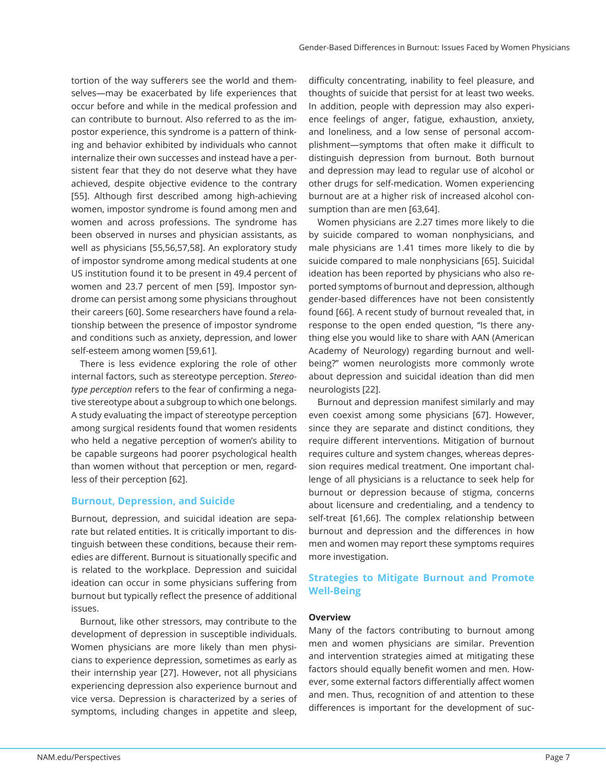tortion of the way sufferers see the world and themselves—may be exacerbated by life experiences that occur before and while in the medical profession and can contribute to burnout. Also referred to as the impostor experience, this syndrome is a pattern of thinking and behavior exhibited by individuals who cannot internalize their own successes and instead have a persistent fear that they do not deserve what they have achieved, despite objective evidence to the contrary [55]. Although first described among high-achieving women, impostor syndrome is found among men and women and across professions. The syndrome has been observed in nurses and physician assistants, as well as physicians [55,56,57,58]. An exploratory study of impostor syndrome among medical students at one US institution found it to be present in 49.4 percent of women and 23.7 percent of men [59]. Impostor syndrome can persist among some physicians throughout their careers [60]. Some researchers have found a relationship between the presence of impostor syndrome and conditions such as anxiety, depression, and lower self-esteem among women [59,61].

There is less evidence exploring the role of other internal factors, such as stereotype perception. *Stereotype perception* refers to the fear of confirming a negative stereotype about a subgroup to which one belongs. A study evaluating the impact of stereotype perception among surgical residents found that women residents who held a negative perception of women's ability to be capable surgeons had poorer psychological health than women without that perception or men, regardless of their perception [62].

## **Burnout, Depression, and Suicide**

Burnout, depression, and suicidal ideation are separate but related entities. It is critically important to distinguish between these conditions, because their remedies are different. Burnout is situationally specific and is related to the workplace. Depression and suicidal ideation can occur in some physicians suffering from burnout but typically reflect the presence of additional issues.

Burnout, like other stressors, may contribute to the development of depression in susceptible individuals. Women physicians are more likely than men physicians to experience depression, sometimes as early as their internship year [27]. However, not all physicians experiencing depression also experience burnout and vice versa. Depression is characterized by a series of symptoms, including changes in appetite and sleep,

difficulty concentrating, inability to feel pleasure, and thoughts of suicide that persist for at least two weeks. In addition, people with depression may also experience feelings of anger, fatigue, exhaustion, anxiety, and loneliness, and a low sense of personal accomplishment—symptoms that often make it difficult to distinguish depression from burnout. Both burnout and depression may lead to regular use of alcohol or other drugs for self-medication. Women experiencing burnout are at a higher risk of increased alcohol consumption than are men [63,64].

Women physicians are 2.27 times more likely to die by suicide compared to woman nonphysicians, and male physicians are 1.41 times more likely to die by suicide compared to male nonphysicians [65]. Suicidal ideation has been reported by physicians who also reported symptoms of burnout and depression, although gender-based differences have not been consistently found [66]. A recent study of burnout revealed that, in response to the open ended question, "Is there anything else you would like to share with AAN (American Academy of Neurology) regarding burnout and wellbeing?" women neurologists more commonly wrote about depression and suicidal ideation than did men neurologists [22].

Burnout and depression manifest similarly and may even coexist among some physicians [67]. However, since they are separate and distinct conditions, they require different interventions. Mitigation of burnout requires culture and system changes, whereas depression requires medical treatment. One important challenge of all physicians is a reluctance to seek help for burnout or depression because of stigma, concerns about licensure and credentialing, and a tendency to self-treat [61,66]. The complex relationship between burnout and depression and the differences in how men and women may report these symptoms requires more investigation.

# **Strategies to Mitigate Burnout and Promote Well-Being**

#### **Overview**

Many of the factors contributing to burnout among men and women physicians are similar. Prevention and intervention strategies aimed at mitigating these factors should equally benefit women and men. However, some external factors differentially affect women and men. Thus, recognition of and attention to these differences is important for the development of suc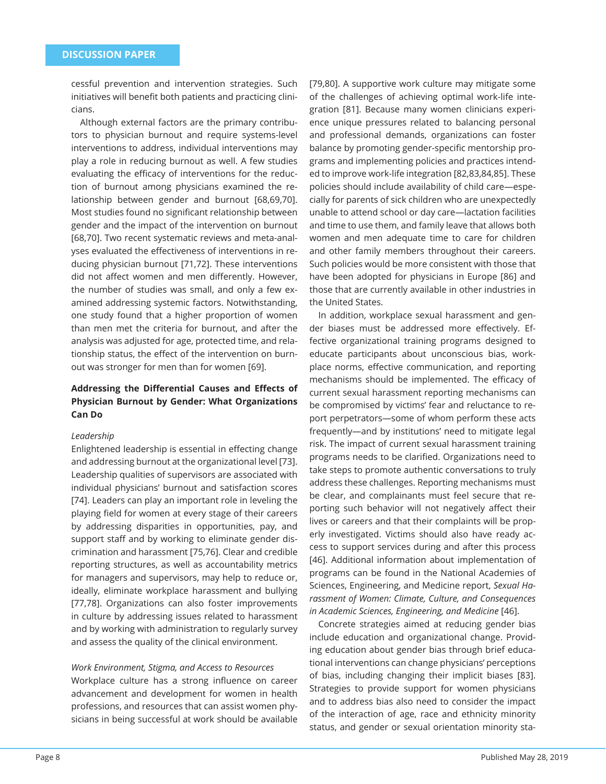cessful prevention and intervention strategies. Such initiatives will benefit both patients and practicing clinicians.

Although external factors are the primary contributors to physician burnout and require systems-level interventions to address, individual interventions may play a role in reducing burnout as well. A few studies evaluating the efficacy of interventions for the reduction of burnout among physicians examined the relationship between gender and burnout [68,69,70]. Most studies found no significant relationship between gender and the impact of the intervention on burnout [68,70]. Two recent systematic reviews and meta-analyses evaluated the effectiveness of interventions in reducing physician burnout [71,72]. These interventions did not affect women and men differently. However, the number of studies was small, and only a few examined addressing systemic factors. Notwithstanding, one study found that a higher proportion of women than men met the criteria for burnout, and after the analysis was adjusted for age, protected time, and relationship status, the effect of the intervention on burnout was stronger for men than for women [69].

# **Addressing the Diff erential Causes and Eff ects of Physician Burnout by Gender: What Organizations Can Do**

#### *Leadership*

Enlightened leadership is essential in effecting change and addressing burnout at the organizational level [73]. Leadership qualities of supervisors are associated with individual physicians' burnout and satisfaction scores [74]. Leaders can play an important role in leveling the playing field for women at every stage of their careers by addressing disparities in opportunities, pay, and support staff and by working to eliminate gender discrimination and harassment [75,76]. Clear and credible reporting structures, as well as accountability metrics for managers and supervisors, may help to reduce or, ideally, eliminate workplace harassment and bullying [77,78]. Organizations can also foster improvements in culture by addressing issues related to harassment and by working with administration to regularly survey and assess the quality of the clinical environment.

## *Work Environment, Stigma, and Access to Resources*

Workplace culture has a strong influence on career advancement and development for women in health professions, and resources that can assist women physicians in being successful at work should be available [79,80]. A supportive work culture may mitigate some of the challenges of achieving optimal work-life integration [81]. Because many women clinicians experience unique pressures related to balancing personal and professional demands, organizations can foster balance by promoting gender-specific mentorship programs and implementing policies and practices intended to improve work-life integration [82,83,84,85]. These policies should include availability of child care—especially for parents of sick children who are unexpectedly unable to attend school or day care—lactation facilities and time to use them, and family leave that allows both women and men adequate time to care for children and other family members throughout their careers. Such policies would be more consistent with those that have been adopted for physicians in Europe [86] and those that are currently available in other industries in the United States.

In addition, workplace sexual harassment and gender biases must be addressed more effectively. Effective organizational training programs designed to educate participants about unconscious bias, workplace norms, effective communication, and reporting mechanisms should be implemented. The efficacy of current sexual harassment reporting mechanisms can be compromised by victims' fear and reluctance to report perpetrators—some of whom perform these acts frequently—and by institutions' need to mitigate legal risk. The impact of current sexual harassment training programs needs to be clarified. Organizations need to take steps to promote authentic conversations to truly address these challenges. Reporting mechanisms must be clear, and complainants must feel secure that reporting such behavior will not negatively affect their lives or careers and that their complaints will be properly investigated. Victims should also have ready access to support services during and after this process [46]. Additional information about implementation of programs can be found in the National Academies of Sciences, Engineering, and Medicine report, *Sexual Harassment of Women: Climate, Culture, and Consequences in Academic Sciences, Engineering, and Medicine* [46].

Concrete strategies aimed at reducing gender bias include education and organizational change. Providing education about gender bias through brief educational interventions can change physicians' perceptions of bias, including changing their implicit biases [83]. Strategies to provide support for women physicians and to address bias also need to consider the impact of the interaction of age, race and ethnicity minority status, and gender or sexual orientation minority sta-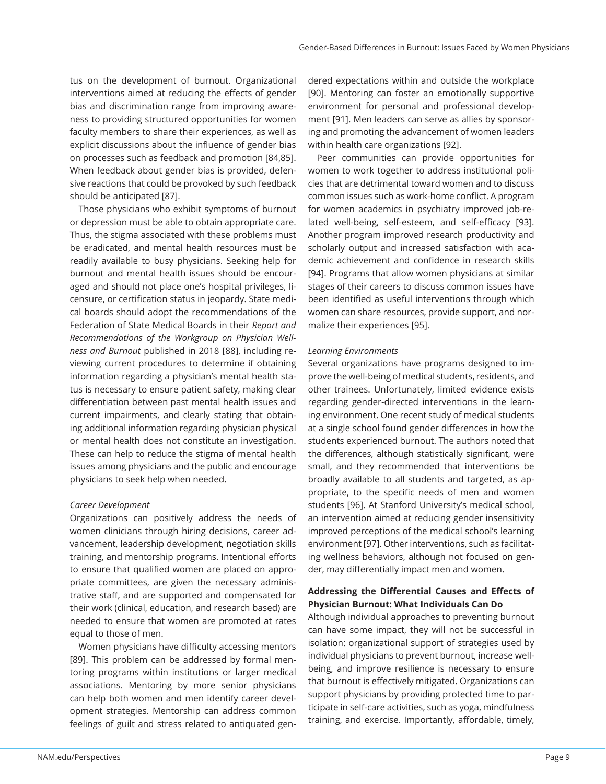tus on the development of burnout. Organizational interventions aimed at reducing the effects of gender bias and discrimination range from improving awareness to providing structured opportunities for women faculty members to share their experiences, as well as explicit discussions about the influence of gender bias on processes such as feedback and promotion [84,85]. When feedback about gender bias is provided, defensive reactions that could be provoked by such feedback should be anticipated [87].

Those physicians who exhibit symptoms of burnout or depression must be able to obtain appropriate care. Thus, the stigma associated with these problems must be eradicated, and mental health resources must be readily available to busy physicians. Seeking help for burnout and mental health issues should be encouraged and should not place one's hospital privileges, licensure, or certification status in jeopardy. State medical boards should adopt the recommendations of the Federation of State Medical Boards in their *Report and Recommendations of the Workgroup on Physician Wellness and Burnout* published in 2018 [88], including reviewing current procedures to determine if obtaining information regarding a physician's mental health status is necessary to ensure patient safety, making clear differentiation between past mental health issues and current impairments, and clearly stating that obtaining additional information regarding physician physical or mental health does not constitute an investigation. These can help to reduce the stigma of mental health issues among physicians and the public and encourage physicians to seek help when needed.

#### *Career Development*

Organizations can positively address the needs of women clinicians through hiring decisions, career advancement, leadership development, negotiation skills training, and mentorship programs. Intentional efforts to ensure that qualified women are placed on appropriate committees, are given the necessary administrative staff, and are supported and compensated for their work (clinical, education, and research based) are needed to ensure that women are promoted at rates equal to those of men.

Women physicians have difficulty accessing mentors [89]. This problem can be addressed by formal mentoring programs within institutions or larger medical associations. Mentoring by more senior physicians can help both women and men identify career development strategies. Mentorship can address common feelings of guilt and stress related to antiquated gen-

dered expectations within and outside the workplace [90]. Mentoring can foster an emotionally supportive environment for personal and professional development [91]. Men leaders can serve as allies by sponsoring and promoting the advancement of women leaders within health care organizations [92].

Peer communities can provide opportunities for women to work together to address institutional policies that are detrimental toward women and to discuss common issues such as work-home conflict. A program for women academics in psychiatry improved job-related well-being, self-esteem, and self-efficacy [93]. Another program improved research productivity and scholarly output and increased satisfaction with academic achievement and confidence in research skills [94]. Programs that allow women physicians at similar stages of their careers to discuss common issues have been identified as useful interventions through which women can share resources, provide support, and normalize their experiences [95].

#### *Learning Environments*

Several organizations have programs designed to improve the well-being of medical students, residents, and other trainees. Unfortunately, limited evidence exists regarding gender-directed interventions in the learning environment. One recent study of medical students at a single school found gender differences in how the students experienced burnout. The authors noted that the differences, although statistically significant, were small, and they recommended that interventions be broadly available to all students and targeted, as appropriate, to the specific needs of men and women students [96]. At Stanford University's medical school, an intervention aimed at reducing gender insensitivity improved perceptions of the medical school's learning environment [97]. Other interventions, such as facilitating wellness behaviors, although not focused on gender, may differentially impact men and women.

# **Addressing the Diff erential Causes and Eff ects of Physician Burnout: What Individuals Can Do**

Although individual approaches to preventing burnout can have some impact, they will not be successful in isolation: organizational support of strategies used by individual physicians to prevent burnout, increase wellbeing, and improve resilience is necessary to ensure that burnout is effectively mitigated. Organizations can support physicians by providing protected time to participate in self-care activities, such as yoga, mindfulness training, and exercise. Importantly, affordable, timely,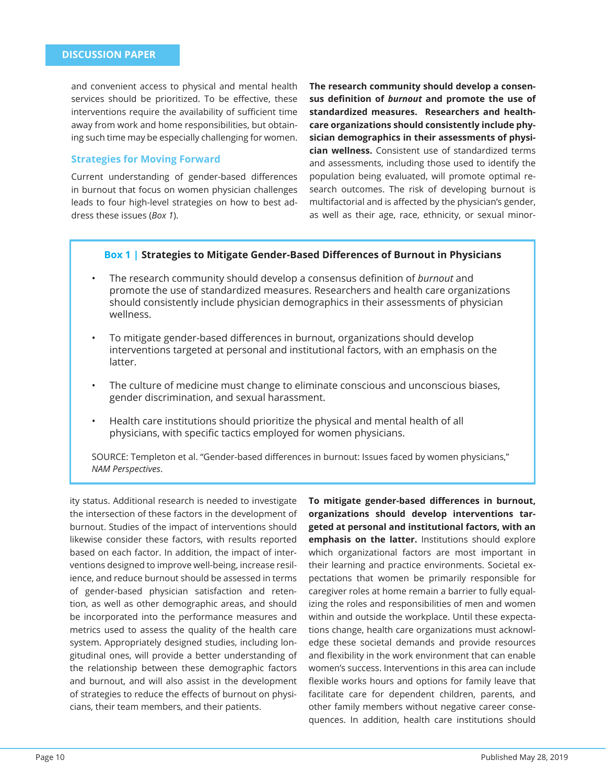and convenient access to physical and mental health services should be prioritized. To be effective, these interventions require the availability of sufficient time away from work and home responsibilities, but obtaining such time may be especially challenging for women.

#### **Strategies for Moving Forward**

Current understanding of gender-based differences in burnout that focus on women physician challenges leads to four high-level strategies on how to best address these issues (*Box 1*).

**The research community should develop a consensus defi nition of** *burnout* **and promote the use of standardized measures. Researchers and healthcare organizations should consistently include physician demographics in their assessments of physician wellness.** Consistent use of standardized terms and assessments, including those used to identify the population being evaluated, will promote optimal research outcomes. The risk of developing burnout is multifactorial and is affected by the physician's gender, as well as their age, race, ethnicity, or sexual minor-

#### **Box 1 | Strategies to Mitigate Gender-Based Differences of Burnout in Physicians**

- The research community should develop a consensus definition of *burnout* and promote the use of standardized measures. Researchers and health care organizations should consistently include physician demographics in their assessments of physician wellness.
- To mitigate gender-based differences in burnout, organizations should develop interventions targeted at personal and institutional factors, with an emphasis on the latter.
- The culture of medicine must change to eliminate conscious and unconscious biases, gender discrimination, and sexual harassment.
- Health care institutions should prioritize the physical and mental health of all physicians, with specific tactics employed for women physicians.

SOURCE: Templeton et al. "Gender-based differences in burnout: Issues faced by women physicians," *NAM Perspectives*.

ity status. Additional research is needed to investigate the intersection of these factors in the development of burnout. Studies of the impact of interventions should likewise consider these factors, with results reported based on each factor. In addition, the impact of interventions designed to improve well-being, increase resilience, and reduce burnout should be assessed in terms of gender-based physician satisfaction and retention, as well as other demographic areas, and should be incorporated into the performance measures and metrics used to assess the quality of the health care system. Appropriately designed studies, including longitudinal ones, will provide a better understanding of the relationship between these demographic factors and burnout, and will also assist in the development of strategies to reduce the effects of burnout on physicians, their team members, and their patients.

To mitigate gender-based differences in burnout, **organizations should develop interventions targeted at personal and institutional factors, with an emphasis on the latter.** Institutions should explore which organizational factors are most important in their learning and practice environments. Societal expectations that women be primarily responsible for caregiver roles at home remain a barrier to fully equalizing the roles and responsibilities of men and women within and outside the workplace. Until these expectations change, health care organizations must acknowledge these societal demands and provide resources and flexibility in the work environment that can enable women's success. Interventions in this area can include flexible works hours and options for family leave that facilitate care for dependent children, parents, and other family members without negative career consequences. In addition, health care institutions should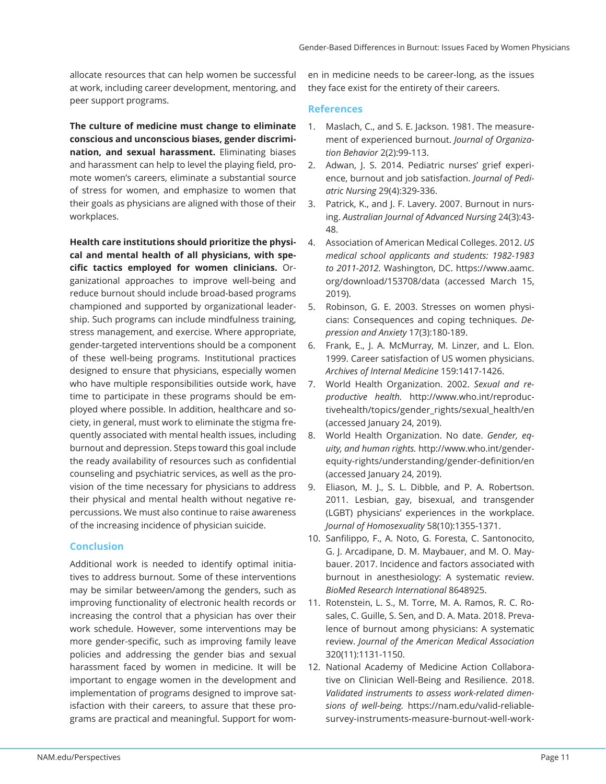allocate resources that can help women be successful at work, including career development, mentoring, and peer support programs.

**The culture of medicine must change to eliminate conscious and unconscious biases, gender discrimination, and sexual harassment.** Eliminating biases and harassment can help to level the playing field, promote women's careers, eliminate a substantial source of stress for women, and emphasize to women that their goals as physicians are aligned with those of their workplaces.

**Health care institutions should prioritize the physical and mental health of all physicians, with specific tactics employed for women clinicians.** Organizational approaches to improve well-being and reduce burnout should include broad-based programs championed and supported by organizational leadership. Such programs can include mindfulness training, stress management, and exercise. Where appropriate, gender-targeted interventions should be a component of these well-being programs. Institutional practices designed to ensure that physicians, especially women who have multiple responsibilities outside work, have time to participate in these programs should be employed where possible. In addition, healthcare and society, in general, must work to eliminate the stigma frequently associated with mental health issues, including burnout and depression. Steps toward this goal include the ready availability of resources such as confidential counseling and psychiatric services, as well as the provision of the time necessary for physicians to address their physical and mental health without negative repercussions. We must also continue to raise awareness of the increasing incidence of physician suicide.

## **Conclusion**

Additional work is needed to identify optimal initiatives to address burnout. Some of these interventions may be similar between/among the genders, such as improving functionality of electronic health records or increasing the control that a physician has over their work schedule. However, some interventions may be more gender-specific, such as improving family leave policies and addressing the gender bias and sexual harassment faced by women in medicine. It will be important to engage women in the development and implementation of programs designed to improve satisfaction with their careers, to assure that these programs are practical and meaningful. Support for women in medicine needs to be career-long, as the issues they face exist for the entirety of their careers.

## **References**

- 1. Maslach, C., and S. E. Jackson. 1981. The measurement of experienced burnout. *Journal of Organization Behavior* 2(2):99-113.
- 2. Adwan, J. S. 2014. Pediatric nurses' grief experience, burnout and job satisfaction. *Journal of Pediatric Nursing* 29(4):329-336.
- 3. Patrick, K., and J. F. Lavery. 2007. Burnout in nursing. *Australian Journal of Advanced Nursing* 24(3):43- 48.
- 4. Association of American Medical Colleges. 2012. *US medical school applicants and students: 1982-1983 to 2011-2012.* Washington, DC. https://www.aamc. org/download/153708/data (accessed March 15, 2019).
- 5. Robinson, G. E. 2003. Stresses on women physicians: Consequences and coping techniques. *Depression and Anxiety* 17(3):180-189.
- 6. Frank, E., J. A. McMurray, M. Linzer, and L. Elon. 1999. Career satisfaction of US women physicians. *Archives of Internal Medicine* 159:1417-1426.
- 7. World Health Organization. 2002. *Sexual and reproductive health.* http://www.who.int/reproductivehealth/topics/gender\_rights/sexual\_health/en (accessed January 24, 2019).
- 8. World Health Organization. No date. *Gender, equity, and human rights.* http://www.who.int/genderequity-rights/understanding/gender-definition/en (accessed January 24, 2019).
- 9. Eliason, M. J., S. L. Dibble, and P. A. Robertson. 2011. Lesbian, gay, bisexual, and transgender (LGBT) physicians' experiences in the workplace. *Journal of Homosexuality* 58(10):1355-1371.
- 10. Sanfilippo, F., A. Noto, G. Foresta, C. Santonocito, G. J. Arcadipane, D. M. Maybauer, and M. O. Maybauer. 2017. Incidence and factors associated with burnout in anesthesiology: A systematic review. *BioMed Research International* 8648925.
- 11. Rotenstein, L. S., M. Torre, M. A. Ramos, R. C. Rosales, C. Guille, S. Sen, and D. A. Mata. 2018. Prevalence of burnout among physicians: A systematic review. *Journal of the American Medical Association* 320(11):1131-1150.
- 12. National Academy of Medicine Action Collaborative on Clinician Well-Being and Resilience. 2018. *Validated instruments to assess work-related dimensions of well-being.* https://nam.edu/valid-reliablesurvey-instruments-measure-burnout-well-work-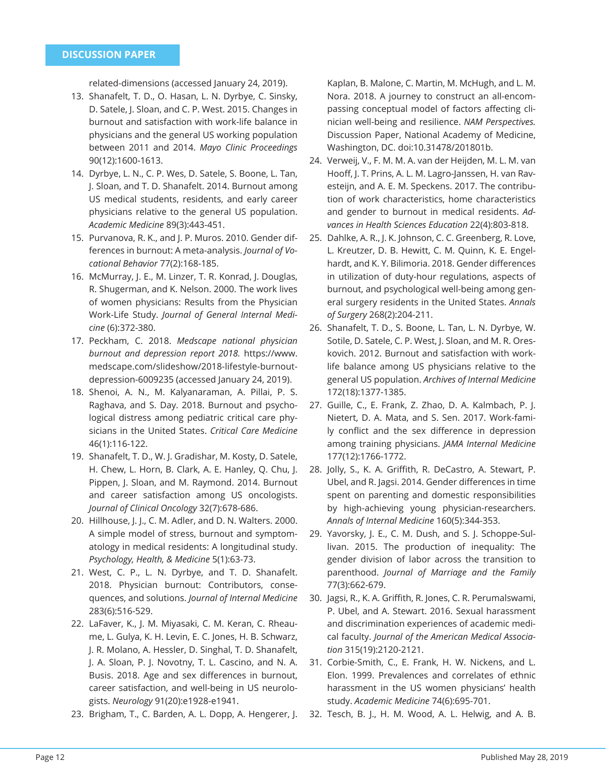related-dimensions (accessed January 24, 2019).

- 13. Shanafelt, T. D., O. Hasan, L. N. Dyrbye, C. Sinsky, D. Satele, J. Sloan, and C. P. West. 2015. Changes in burnout and satisfaction with work-life balance in physicians and the general US working population between 2011 and 2014. *Mayo Clinic Proceedings*  90(12):1600-1613.
- 14. Dyrbye, L. N., C. P. Wes, D. Satele, S. Boone, L. Tan, J. Sloan, and T. D. Shanafelt. 2014. Burnout among US medical students, residents, and early career physicians relative to the general US population. *Academic Medicine* 89(3):443-451.
- 15. Purvanova, R. K., and J. P. Muros. 2010. Gender differences in burnout: A meta-analysis. *Journal of Vocational Behavior* 77(2):168-185.
- 16. McMurray, J. E., M. Linzer, T. R. Konrad, J. Douglas, R. Shugerman, and K. Nelson. 2000. The work lives of women physicians: Results from the Physician Work-Life Study. *Journal of General Internal Medicine* (6):372-380.
- 17. Peckham, C. 2018. *Medscape national physician burnout and depression report 2018.* https://www. medscape.com/slideshow/2018-lifestyle-burnoutdepression-6009235 (accessed January 24, 2019).
- 18. Shenoi, A. N., M. Kalyanaraman, A. Pillai, P. S. Raghava, and S. Day. 2018. Burnout and psychological distress among pediatric critical care physicians in the United States. *Critical Care Medicine*  46(1):116-122.
- 19. Shanafelt, T. D., W. J. Gradishar, M. Kosty, D. Satele, H. Chew, L. Horn, B. Clark, A. E. Hanley, Q. Chu, J. Pippen, J. Sloan, and M. Raymond. 2014. Burnout and career satisfaction among US oncologists. *Journal of Clinical Oncology* 32(7):678-686.
- 20. Hillhouse, J. J., C. M. Adler, and D. N. Walters. 2000. A simple model of stress, burnout and symptomatology in medical residents: A longitudinal study. *Psychology, Health, & Medicine* 5(1):63-73.
- 21. West, C. P., L. N. Dyrbye, and T. D. Shanafelt. 2018. Physician burnout: Contributors, consequences, and solutions. *Journal of Internal Medicine*  283(6):516-529.
- 22. LaFaver, K., J. M. Miyasaki, C. M. Keran, C. Rheaume, L. Gulya, K. H. Levin, E. C. Jones, H. B. Schwarz, J. R. Molano, A. Hessler, D. Singhal, T. D. Shanafelt, J. A. Sloan, P. J. Novotny, T. L. Cascino, and N. A. Busis. 2018. Age and sex differences in burnout, career satisfaction, and well-being in US neurologists. *Neurology* 91(20):e1928-e1941.
- 23. Brigham, T., C. Barden, A. L. Dopp, A. Hengerer, J.

Kaplan, B. Malone, C. Martin, M. McHugh, and L. M. Nora. 2018. A journey to construct an all-encompassing conceptual model of factors affecting clinician well-being and resilience. *NAM Perspectives.*  Discussion Paper, National Academy of Medicine, Washington, DC. doi:10.31478/201801b.

- 24. Verweij, V., F. M. M. A. van der Heijden, M. L. M. van Hooff, J. T. Prins, A. L. M. Lagro-Janssen, H. van Ravesteijn, and A. E. M. Speckens. 2017. The contribution of work characteristics, home characteristics and gender to burnout in medical residents. *Advances in Health Sciences Education* 22(4):803-818.
- 25. Dahlke, A. R., J. K. Johnson, C. C. Greenberg, R. Love, L. Kreutzer, D. B. Hewitt, C. M. Quinn, K. E. Engelhardt, and K. Y. Bilimoria. 2018. Gender differences in utilization of duty-hour regulations, aspects of burnout, and psychological well-being among general surgery residents in the United States. *Annals of Surgery* 268(2):204-211.
- 26. Shanafelt, T. D., S. Boone, L. Tan, L. N. Dyrbye, W. Sotile, D. Satele, C. P. West, J. Sloan, and M. R. Oreskovich. 2012. Burnout and satisfaction with worklife balance among US physicians relative to the general US population. *Archives of Internal Medicine* 172(18):1377-1385.
- 27. Guille, C., E. Frank, Z. Zhao, D. A. Kalmbach, P. J. Nietert, D. A. Mata, and S. Sen. 2017. Work-family conflict and the sex difference in depression among training physicians. *JAMA Internal Medicine*  177(12):1766-1772.
- 28. Jolly, S., K. A. Griffith, R. DeCastro, A. Stewart, P. Ubel, and R. Jagsi. 2014. Gender differences in time spent on parenting and domestic responsibilities by high-achieving young physician-researchers. *Annals of Internal Medicine* 160(5):344-353.
- 29. Yavorsky, J. E., C. M. Dush, and S. J. Schoppe-Sullivan. 2015. The production of inequality: The gender division of labor across the transition to parenthood. *Journal of Marriage and the Family*  77(3):662-679.
- 30. Jagsi, R., K. A. Griffith, R. Jones, C. R. Perumalswami, P. Ubel, and A. Stewart. 2016. Sexual harassment and discrimination experiences of academic medical faculty. *Journal of the American Medical Association* 315(19):2120-2121.
- 31. Corbie-Smith, C., E. Frank, H. W. Nickens, and L. Elon. 1999. Prevalences and correlates of ethnic harassment in the US women physicians' health study. *Academic Medicine* 74(6):695-701.
- 32. Tesch, B. J., H. M. Wood, A. L. Helwig, and A. B.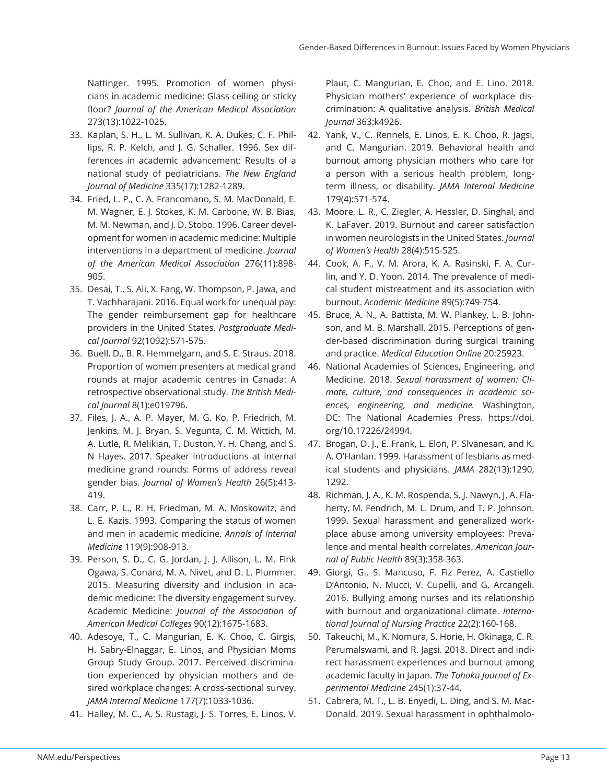Nattinger. 1995. Promotion of women physicians in academic medicine: Glass ceiling or sticky floor? *Journal of the American Medical Association* 273(13):1022-1025.

- 33. Kaplan, S. H., L. M. Sullivan, K. A. Dukes, C. F. Phillips, R. P. Kelch, and J. G. Schaller. 1996. Sex differences in academic advancement: Results of a national study of pediatricians. *The New England Journal of Medicine* 335(17):1282-1289.
- 34. Fried, L. P., C. A. Francomano, S. M. MacDonald, E. M. Wagner, E. J. Stokes, K. M. Carbone, W. B. Bias, M. M. Newman, and J. D. Stobo. 1996. Career development for women in academic medicine: Multiple interventions in a department of medicine. *Journal of the American Medical Association* 276(11):898- 905.
- 35. Desai, T., S. Ali, X. Fang, W. Thompson, P. Jawa, and T. Vachharajani. 2016. Equal work for unequal pay: The gender reimbursement gap for healthcare providers in the United States. *Postgraduate Medical Journal* 92(1092):571-575.
- 36. Buell, D., B. R. Hemmelgarn, and S. E. Straus. 2018. Proportion of women presenters at medical grand rounds at major academic centres in Canada: A retrospective observational study. *The British Medical Journal* 8(1):e019796.
- 37. Files, J. A., A. P. Mayer, M. G. Ko, P. Friedrich, M. Jenkins, M. J. Bryan, S. Vegunta, C. M. Wittich, M. A. Lutle, R. Melikian, T. Duston, Y. H. Chang, and S. N Hayes. 2017. Speaker introductions at internal medicine grand rounds: Forms of address reveal gender bias. *Journal of Women's Health* 26(5):413- 419.
- 38. Carr, P. L., R. H. Friedman, M. A. Moskowitz, and L. E. Kazis. 1993. Comparing the status of women and men in academic medicine. *Annals of Internal Medicine* 119(9):908-913.
- 39. Person, S. D., C. G. Jordan, J. J. Allison, L. M. Fink Ogawa, S. Conard, M. A. Nivet, and D. L. Plummer. 2015. Measuring diversity and inclusion in academic medicine: The diversity engagement survey. Academic Medicine: *Journal of the Association of American Medical Colleges* 90(12):1675-1683.
- 40. Adesoye, T., C. Mangurian, E. K. Choo, C. Girgis, H. Sabry-Elnaggar, E. Linos, and Physician Moms Group Study Group. 2017. Perceived discrimination experienced by physician mothers and desired workplace changes: A cross-sectional survey. *JAMA Internal Medicine* 177(7):1033-1036.
- 41. Halley, M. C., A. S. Rustagi, J. S. Torres, E. Linos, V.

Plaut, C. Mangurian, E. Choo, and E. Lino. 2018. Physician mothers' experience of workplace discrimination: A qualitative analysis. *British Medical Journal* 363:k4926.

- 42. Yank, V., C. Rennels, E. Linos, E. K. Choo, R. Jagsi, and C. Mangurian. 2019. Behavioral health and burnout among physician mothers who care for a person with a serious health problem, longterm illness, or disability. *JAMA Internal Medicine* 179(4):571-574.
- 43. Moore, L. R., C. Ziegler, A. Hessler, D. Singhal, and K. LaFaver. 2019. Burnout and career satisfaction in women neurologists in the United States. *Journal of Women's Health* 28(4):515-525.
- 44. Cook, A. F., V. M. Arora, K. A. Rasinski, F. A. Curlin, and Y. D. Yoon. 2014. The prevalence of medical student mistreatment and its association with burnout. *Academic Medicine* 89(5):749-754.
- 45. Bruce, A. N., A. Battista, M. W. Plankey, L. B. Johnson, and M. B. Marshall. 2015. Perceptions of gender-based discrimination during surgical training and practice. *Medical Education Online* 20:25923.
- 46. National Academies of Sciences, Engineering, and Medicine. 2018. *Sexual harassment of women: Climate, culture, and consequences in academic sciences, engineering, and medicine.* Washington, DC: The National Academies Press. https://doi. org/10.17226/24994.
- 47. Brogan, D. J., E. Frank, L. Elon, P. Slvanesan, and K. A. O'Hanlan. 1999. Harassment of lesbians as medical students and physicians. *JAMA* 282(13):1290, 1292.
- 48. Richman, J. A., K. M. Rospenda, S. J. Nawyn, J. A. Flaherty, M. Fendrich, M. L. Drum, and T. P. Johnson. 1999. Sexual harassment and generalized workplace abuse among university employees: Prevalence and mental health correlates. *American Journal of Public Health* 89(3):358-363.
- 49. Giorgi, G., S. Mancuso, F. Fiz Perez, A. Castiello D'Antonio, N. Mucci, V. Cupelli, and G. Arcangeli. 2016. Bullying among nurses and its relationship with burnout and organizational climate. *International Journal of Nursing Practice* 22(2):160-168.
- 50. Takeuchi, M., K. Nomura, S. Horie, H. Okinaga, C. R. Perumalswami, and R. Jagsi. 2018. Direct and indirect harassment experiences and burnout among academic faculty in Japan. *The Tohoku Journal of Experimental Medicine* 245(1):37-44.
- 51. Cabrera, M. T., L. B. Enyedi, L. Ding, and S. M. Mac-Donald. 2019. Sexual harassment in ophthalmolo-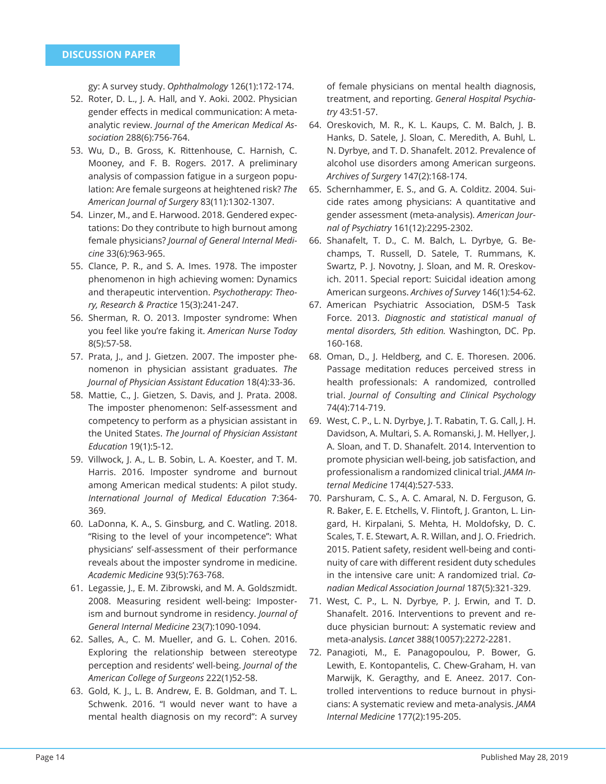gy: A survey study. *Ophthalmology* 126(1):172-174.

- 52. Roter, D. L., J. A. Hall, and Y. Aoki. 2002. Physician gender effects in medical communication: A metaanalytic review. *Journal of the American Medical Association* 288(6):756-764.
- 53. Wu, D., B. Gross, K. Rittenhouse, C. Harnish, C. Mooney, and F. B. Rogers. 2017. A preliminary analysis of compassion fatigue in a surgeon population: Are female surgeons at heightened risk? *The American Journal of Surgery* 83(11):1302-1307.
- 54. Linzer, M., and E. Harwood. 2018. Gendered expectations: Do they contribute to high burnout among female physicians? *Journal of General Internal Medicine* 33(6):963-965.
- 55. Clance, P. R., and S. A. Imes. 1978. The imposter phenomenon in high achieving women: Dynamics and therapeutic intervention. *Psychotherapy: Theory, Research & Practice* 15(3):241-247.
- 56. Sherman, R. O. 2013. Imposter syndrome: When you feel like you're faking it. *American Nurse Today* 8(5):57-58.
- 57. Prata, J., and J. Gietzen. 2007. The imposter phenomenon in physician assistant graduates. *The Journal of Physician Assistant Education* 18(4):33-36.
- 58. Mattie, C., J. Gietzen, S. Davis, and J. Prata. 2008. The imposter phenomenon: Self-assessment and competency to perform as a physician assistant in the United States. *The Journal of Physician Assistant Education* 19(1):5-12.
- 59. Villwock, J. A., L. B. Sobin, L. A. Koester, and T. M. Harris. 2016. Imposter syndrome and burnout among American medical students: A pilot study. *International Journal of Medical Education* 7:364- 369.
- 60. LaDonna, K. A., S. Ginsburg, and C. Watling. 2018. "Rising to the level of your incompetence": What physicians' self-assessment of their performance reveals about the imposter syndrome in medicine. *Academic Medicine* 93(5):763-768.
- 61. Legassie, J., E. M. Zibrowski, and M. A. Goldszmidt. 2008. Measuring resident well-being: Imposterism and burnout syndrome in residency. *Journal of General Internal Medicine* 23(7):1090-1094.
- 62. Salles, A., C. M. Mueller, and G. L. Cohen. 2016. Exploring the relationship between stereotype perception and residents' well-being. *Journal of the American College of Surgeons* 222(1)52-58.
- 63. Gold, K. J., L. B. Andrew, E. B. Goldman, and T. L. Schwenk. 2016. "I would never want to have a mental health diagnosis on my record": A survey

of female physicians on mental health diagnosis, treatment, and reporting. *General Hospital Psychiatry* 43:51-57.

- 64. Oreskovich, M. R., K. L. Kaups, C. M. Balch, J. B. Hanks, D. Satele, J. Sloan, C. Meredith, A. Buhl, L. N. Dyrbye, and T. D. Shanafelt. 2012. Prevalence of alcohol use disorders among American surgeons. *Archives of Surgery* 147(2):168-174.
- 65. Schernhammer, E. S., and G. A. Colditz. 2004. Suicide rates among physicians: A quantitative and gender assessment (meta-analysis). *American Journal of Psychiatry* 161(12):2295-2302.
- 66. Shanafelt, T. D., C. M. Balch, L. Dyrbye, G. Bechamps, T. Russell, D. Satele, T. Rummans, K. Swartz, P. J. Novotny, J. Sloan, and M. R. Oreskovich. 2011. Special report: Suicidal ideation among American surgeons. *Archives of Survey* 146(1):54-62.
- 67. American Psychiatric Association, DSM-5 Task Force. 2013. *Diagnostic and statistical manual of mental disorders, 5th edition.* Washington, DC. Pp. 160-168.
- 68. Oman, D., J. Heldberg, and C. E. Thoresen. 2006. Passage meditation reduces perceived stress in health professionals: A randomized, controlled trial. *Journal of Consulting and Clinical Psychology*  74(4):714-719.
- 69. West, C. P., L. N. Dyrbye, J. T. Rabatin, T. G. Call, J. H. Davidson, A. Multari, S. A. Romanski, J. M. Hellyer, J. A. Sloan, and T. D. Shanafelt. 2014. Intervention to promote physician well-being, job satisfaction, and professionalism a randomized clinical trial. *JAMA Internal Medicine* 174(4):527-533.
- 70. Parshuram, C. S., A. C. Amaral, N. D. Ferguson, G. R. Baker, E. E. Etchells, V. Flintoft, J. Granton, L. Lingard, H. Kirpalani, S. Mehta, H. Moldofsky, D. C. Scales, T. E. Stewart, A. R. Willan, and J. O. Friedrich. 2015. Patient safety, resident well-being and continuity of care with different resident duty schedules in the intensive care unit: A randomized trial. *Canadian Medical Association Journal* 187(5):321-329.
- 71. West, C. P., L. N. Dyrbye, P. J. Erwin, and T. D. Shanafelt. 2016. Interventions to prevent and reduce physician burnout: A systematic review and meta-analysis. *Lancet* 388(10057):2272-2281.
- 72. Panagioti, M., E. Panagopoulou, P. Bower, G. Lewith, E. Kontopantelis, C. Chew-Graham, H. van Marwijk, K. Geragthy, and E. Aneez. 2017. Controlled interventions to reduce burnout in physicians: A systematic review and meta-analysis. *JAMA Internal Medicine* 177(2):195-205.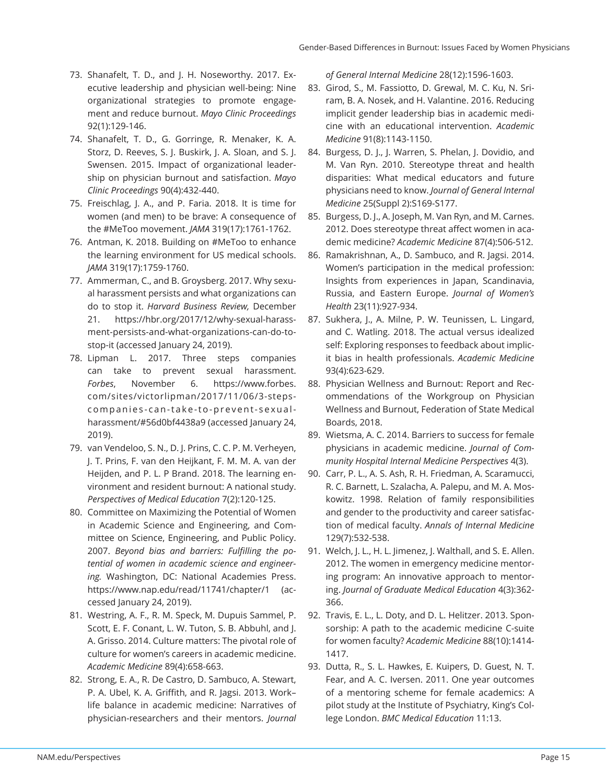- 73. Shanafelt, T. D., and J. H. Noseworthy. 2017. Executive leadership and physician well-being: Nine organizational strategies to promote engagement and reduce burnout. *Mayo Clinic Proceedings*  92(1):129-146.
- 74. Shanafelt, T. D., G. Gorringe, R. Menaker, K. A. Storz, D. Reeves, S. J. Buskirk, J. A. Sloan, and S. J. Swensen. 2015. Impact of organizational leadership on physician burnout and satisfaction. *Mayo Clinic Proceedings* 90(4):432-440.
- 75. Freischlag, J. A., and P. Faria. 2018. It is time for women (and men) to be brave: A consequence of the #MeToo movement. *JAMA* 319(17):1761-1762.
- 76. Antman, K. 2018. Building on #MeToo to enhance the learning environment for US medical schools. *JAMA* 319(17):1759-1760.
- 77. Ammerman, C., and B. Groysberg. 2017. Why sexual harassment persists and what organizations can do to stop it. *Harvard Business Review,* December 21. https://hbr.org/2017/12/why-sexual-harassment-persists-and-what-organizations-can-do-tostop-it (accessed January 24, 2019).
- 78. Lipman L. 2017. Three steps companies can take to prevent sexual harassment. *Forbes*, November 6. https://www.forbes. com/sites/victorlipman/2017/11/06/3-stepscompanies-can-take-to-prevent-sexualharassment/#56d0bf4438a9 (accessed January 24, 2019).
- 79. van Vendeloo, S. N., D. J. Prins, C. C. P. M. Verheyen, J. T. Prins, F. van den Heijkant, F. M. M. A. van der Heijden, and P. L. P Brand. 2018. The learning environment and resident burnout: A national study. *Perspectives of Medical Education* 7(2):120-125.
- 80. Committee on Maximizing the Potential of Women in Academic Science and Engineering, and Committee on Science, Engineering, and Public Policy. 2007. Beyond bias and barriers: Fulfilling the po*tential of women in academic science and engineering.* Washington, DC: National Academies Press. https://www.nap.edu/read/11741/chapter/1 (accessed January 24, 2019).
- 81. Westring, A. F., R. M. Speck, M. Dupuis Sammel, P. Scott, E. F. Conant, L. W. Tuton, S. B. Abbuhl, and J. A. Grisso. 2014. Culture matters: The pivotal role of culture for women's careers in academic medicine. *Academic Medicine* 89(4):658-663.
- 82. Strong, E. A., R. De Castro, D. Sambuco, A. Stewart, P. A. Ubel, K. A. Griffith, and R. Jagsi. 2013. Worklife balance in academic medicine: Narratives of physician-researchers and their mentors. *Journal*

*of General Internal Medicine* 28(12):1596-1603.

- 83. Girod, S., M. Fassiotto, D. Grewal, M. C. Ku, N. Sriram, B. A. Nosek, and H. Valantine. 2016. Reducing implicit gender leadership bias in academic medicine with an educational intervention. *Academic Medicine* 91(8):1143-1150.
- 84. Burgess, D. J., J. Warren, S. Phelan, J. Dovidio, and M. Van Ryn. 2010. Stereotype threat and health disparities: What medical educators and future physicians need to know. *Journal of General Internal Medicine* 25(Suppl 2):S169-S177.
- 85. Burgess, D. J., A. Joseph, M. Van Ryn, and M. Carnes. 2012. Does stereotype threat affect women in academic medicine? *Academic Medicine* 87(4):506-512.
- 86. Ramakrishnan, A., D. Sambuco, and R. Jagsi. 2014. Women's participation in the medical profession: Insights from experiences in Japan, Scandinavia, Russia, and Eastern Europe. *Journal of Women's Health* 23(11):927-934.
- 87. Sukhera, J., A. Milne, P. W. Teunissen, L. Lingard, and C. Watling. 2018. The actual versus idealized self: Exploring responses to feedback about implicit bias in health professionals. *Academic Medicine* 93(4):623-629.
- 88. Physician Wellness and Burnout: Report and Recommendations of the Workgroup on Physician Wellness and Burnout, Federation of State Medical Boards, 2018.
- 89. Wietsma, A. C. 2014. Barriers to success for female physicians in academic medicine. *Journal of Community Hospital Internal Medicine Perspectives* 4(3).
- 90. Carr, P. L., A. S. Ash, R. H. Friedman, A. Scaramucci, R. C. Barnett, L. Szalacha, A. Palepu, and M. A. Moskowitz. 1998. Relation of family responsibilities and gender to the productivity and career satisfaction of medical faculty. *Annals of Internal Medicine*  129(7):532-538.
- 91. Welch, J. L., H. L. Jimenez, J. Walthall, and S. E. Allen. 2012. The women in emergency medicine mentoring program: An innovative approach to mentoring. *Journal of Graduate Medical Education* 4(3):362- 366.
- 92. Travis, E. L., L. Doty, and D. L. Helitzer. 2013. Sponsorship: A path to the academic medicine C-suite for women faculty? *Academic Medicine* 88(10):1414- 1417.
- 93. Dutta, R., S. L. Hawkes, E. Kuipers, D. Guest, N. T. Fear, and A. C. Iversen. 2011. One year outcomes of a mentoring scheme for female academics: A pilot study at the Institute of Psychiatry, King's College London. *BMC Medical Education* 11:13.